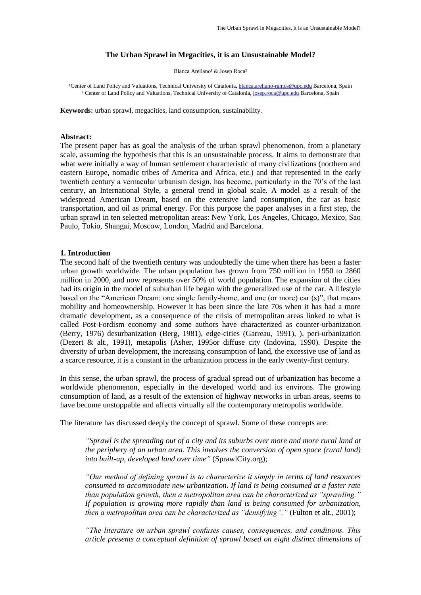#### **The Urban Sprawl in Megacities, it is an Unsustainable Model?**

Blanca Arellano<sup>1</sup> & Josep Roca<sup>2</sup>

<sup>1</sup>Center of Land Policy and Valuations, Technical University of Catalonia[, blanca.arellano-ramos@upc.edu](mailto:blanca.arellano-ramos@upc.edu) Barcelona, Spain <sup>2</sup> Center of Land Policy and Valuations, Technical University of Catalonia, [josep.roca@upc.edu](mailto:josep.roca@upc.edu) Barcelona, Spain

**Keywords:** urban sprawl, megacities, land consumption, sustainability.

#### **Abstract:**

The present paper has as goal the analysis of the urban sprawl phenomenon, from a planetary scale, assuming the hypothesis that this is an unsustainable process. It aims to demonstrate that what were initially a way of human settlement characteristic of many civilizations (northern and eastern Europe, nomadic tribes of America and Africa, etc.) and that represented in the early twentieth century a vernacular urbanism design, has become, particularly in the 70's of the last century, an International Style, a general trend in global scale. A model as a result of the widespread American Dream, based on the extensive land consumption, the car as basic transportation, and oil as primal energy. For this purpose the paper analyses in a first step, the urban sprawl in ten selected metropolitan areas: New York, Los Angeles, Chicago, Mexico, Sao Paulo, Tokio, Shangai, Moscow, London, Madrid and Barcelona.

#### **1. Introduction**

The second half of the twentieth century was undoubtedly the time when there has been a faster urban growth worldwide. The urban population has grown from 750 million in 1950 to 2860 million in 2000, and now represents over 50% of world population. The expansion of the cities had its origin in the model of suburban life began with the generalized use of the car. A lifestyle based on the "American Dream: one single family-home, and one (or more) car (s)", that means mobility and homeownership. However it has been since the late 70s when it has had a more dramatic development, as a consequence of the crisis of metropolitan areas linked to what is called Post-Fordism economy and some authors have characterized as counter-urbanization (Berry, 1976) desurbanization (Berg, 1981), edge-cities (Garreau, 1991), ), peri-urbanization (Dezert & alt., 1991), metapolis (Asher, 1995or diffuse city (Indovina, 1990). Despite the diversity of urban development, the increasing consumption of land, the excessive use of land as a scarce resource, it is a constant in the urbanization process in the early twenty-first century.

In this sense, the urban sprawl, the process of gradual spread out of urbanization has become a worldwide phenomenon, especially in the developed world and its environs. The growing consumption of land, as a result of the extension of highway networks in urban areas, seems to have become unstoppable and affects virtually all the contemporary metropolis worldwide.

The literature has discussed deeply the concept of sprawl. Some of these concepts are:

*"Sprawl is the spreading out of a city and its suburbs over more and more rural land at the periphery of an urban area. This involves the conversion of open space (rural land) into built-up, developed land over time"* (SprawlCity.org);

*"Our method of defining sprawl is to characterize it simply in terms of land resources consumed to accommodate new urbanization. If land is being consumed at a faster rate than population growth, then a metropolitan area can be characterized as "sprawling." If population is growing more rapidly than land is being consumed for urbanization, then a metropolitan area can be characterized as "densifying"."* (Fulton et alt., 2001);

*"The literature on urban sprawl confuses causes, consequences, and conditions. This article presents a conceptual definition of sprawl based on eight distinct dimensions of*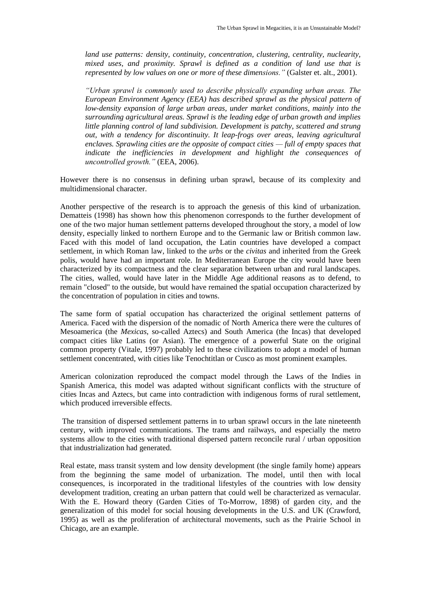*land use patterns: density, continuity, concentration, clustering, centrality, nuclearity, mixed uses, and proximity. Sprawl is defined as a condition of land use that is represented by low values on one or more of these dimensions."* (Galster et. alt., 2001).

*"Urban sprawl is commonly used to describe physically expanding urban areas. The European Environment Agency (EEA) has described sprawl as the physical pattern of low-density expansion of large urban areas, under market conditions, mainly into the surrounding agricultural areas. Sprawl is the leading edge of urban growth and implies little planning control of land subdivision. Development is patchy, scattered and strung out, with a tendency for discontinuity. It leap-frogs over areas, leaving agricultural enclaves. Sprawling cities are the opposite of compact cities — full of empty spaces that indicate the inefficiencies in development and highlight the consequences of uncontrolled growth."* (EEA, 2006).

However there is no consensus in defining urban sprawl, because of its complexity and multidimensional character.

Another perspective of the research is to approach the genesis of this kind of urbanization. Dematteis (1998) has shown how this phenomenon corresponds to the further development of one of the two major human settlement patterns developed throughout the story, a model of low density, especially linked to northern Europe and to the Germanic law or British common law. Faced with this model of land occupation, the Latin countries have developed a compact settlement, in which Roman law, linked to the *urbs* or the *civitas* and inherited from the Greek polis, would have had an important role. In Mediterranean Europe the city would have been characterized by its compactness and the clear separation between urban and rural landscapes. The cities, walled, would have later in the Middle Age additional reasons as to defend, to remain "closed" to the outside, but would have remained the spatial occupation characterized by the concentration of population in cities and towns.

The same form of spatial occupation has characterized the original settlement patterns of America. Faced with the dispersion of the nomadic of North America there were the cultures of Mesoamerica (the *Mexicas*, so-called Aztecs) and South America (the Incas) that developed compact cities like Latins (or Asian). The emergence of a powerful State on the original common property (Vitale, 1997) probably led to these civilizations to adopt a model of human settlement concentrated, with cities like Tenochtitlan or Cusco as most prominent examples.

American colonization reproduced the compact model through the Laws of the Indies in Spanish America, this model was adapted without significant conflicts with the structure of cities Incas and Aztecs, but came into contradiction with indigenous forms of rural settlement, which produced irreversible effects.

The transition of dispersed settlement patterns in to urban sprawl occurs in the late nineteenth century, with improved communications. The trams and railways, and especially the metro systems allow to the cities with traditional dispersed pattern reconcile rural / urban opposition that industrialization had generated.

Real estate, mass transit system and low density development (the single family home) appears from the beginning the same model of urbanization. The model, until then with local consequences, is incorporated in the traditional lifestyles of the countries with low density development tradition, creating an urban pattern that could well be characterized as vernacular. With the E. Howard theory (Garden Cities of To-Morrow, 1898) of garden city, and the generalization of this model for social housing developments in the U.S. and UK (Crawford, 1995) as well as the proliferation of architectural movements, such as the Prairie School in Chicago, are an example.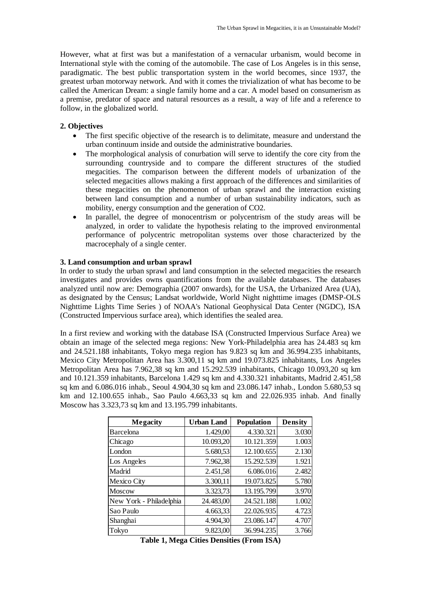However, what at first was but a manifestation of a vernacular urbanism, would become in International style with the coming of the automobile. The case of Los Angeles is in this sense, paradigmatic. The best public transportation system in the world becomes, since 1937, the greatest urban motorway network. And with it comes the trivialization of what has become to be called the American Dream: a single family home and a car. A model based on consumerism as a premise, predator of space and natural resources as a result, a way of life and a reference to follow, in the globalized world.

## **2. Objectives**

- The first specific objective of the research is to delimitate, measure and understand the urban continuum inside and outside the administrative boundaries.
- The morphological analysis of conurbation will serve to identify the core city from the surrounding countryside and to compare the different structures of the studied megacities. The comparison between the different models of urbanization of the selected megacities allows making a first approach of the differences and similarities of these megacities on the phenomenon of urban sprawl and the interaction existing between land consumption and a number of urban sustainability indicators, such as mobility, energy consumption and the generation of CO2.
- In parallel, the degree of monocentrism or polycentrism of the study areas will be analyzed, in order to validate the hypothesis relating to the improved environmental performance of polycentric metropolitan systems over those characterized by the macrocephaly of a single center.

## **3. Land consumption and urban sprawl**

In order to study the urban sprawl and land consumption in the selected megacities the research investigates and provides owns quantifications from the available databases. The databases analyzed until now are: Demographia (2007 onwards), for the USA, the Urbanized Area (UA), as designated by the Census; Landsat worldwide, World Night nighttime images (DMSP-OLS Nighttime Lights Time Series ) of NOAA's National Geophysical Data Center (NGDC), ISA (Constructed Impervious surface area), which identifies the sealed area.

In a first review and working with the database ISA (Constructed Impervious Surface Area) we obtain an image of the selected mega regions: New York-Philadelphia area has 24.483 sq km and 24.521.188 inhabitants, Tokyo mega region has 9.823 sq km and 36.994.235 inhabitants, Mexico City Metropolitan Area has 3.300,11 sq km and 19.073.825 inhabitants, Los Angeles Metropolitan Area has 7.962,38 sq km and 15.292.539 inhabitants, Chicago 10.093,20 sq km and 10.121.359 inhabitants, Barcelona 1.429 sq km and 4.330.321 inhabitants, Madrid 2.451,58 sq km and 6.086.016 inhab., Seoul 4.904,30 sq km and 23.086.147 inhab., London 5.680,53 sq km and 12.100.655 inhab., Sao Paulo 4.663,33 sq km and 22.026.935 inhab. And finally Moscow has 3.323,73 sq km and 13.195.799 inhabitants.

| Megacity                | <b>Urban Land</b> | Population | Density |
|-------------------------|-------------------|------------|---------|
| <b>Barcelona</b>        | 1.429,00          | 4.330.321  | 3.030   |
| Chicago                 | 10.093,20         | 10.121.359 | 1.003   |
| London                  | 5.680,53          | 12.100.655 | 2.130   |
| Los Angeles             | 7.962,38          | 15.292.539 | 1.921   |
| Madrid                  | 2.451,58          | 6.086.016  | 2.482   |
| Mexico City             | 3.300,11          | 19.073.825 | 5.780   |
| <b>Moscow</b>           | 3.323,73          | 13.195.799 | 3.970   |
| New York - Philadelphia | 24.483,00         | 24.521.188 | 1.002   |
| Sao Paulo               | 4.663,33          | 22.026.935 | 4.723   |
| Shanghai                | 4.904,30          | 23.086.147 | 4.707   |
| Tokyo                   | 9.823,00          | 36.994.235 | 3.766   |

**Table 1, Mega Cities Densities (From ISA)**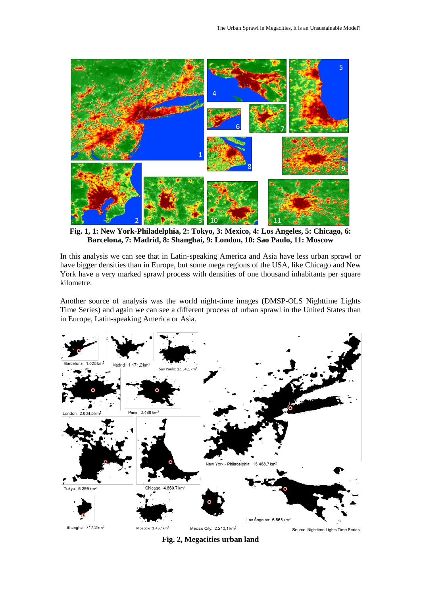

**Fig. 1, 1: New York-Philadelphia, 2: Tokyo, 3: Mexico, 4: Los Angeles, 5: Chicago, 6: Barcelona, 7: Madrid, 8: Shanghai, 9: London, 10: Sao Paulo, 11: Moscow**

In this analysis we can see that in Latin-speaking America and Asia have less urban sprawl or have bigger densities than in Europe, but some mega regions of the USA, like Chicago and New York have a very marked sprawl process with densities of one thousand inhabitants per square kilometre.

Another source of analysis was the world night-time images (DMSP-OLS Nighttime Lights Time Series) and again we can see a different process of urban sprawl in the United States than in Europe, Latin-speaking America or Asia.



**Fig. 2, Megacities urban land**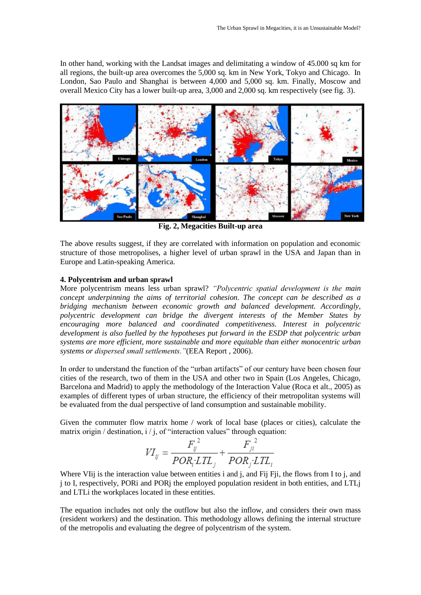In other hand, working with the Landsat images and delimitating a window of 45.000 sq km for all regions, the built-up area overcomes the 5,000 sq. km in New York, Tokyo and Chicago. In London, Sao Paulo and Shanghai is between 4,000 and 5,000 sq. km. Finally, Moscow and overall Mexico City has a lower built-up area, 3,000 and 2,000 sq. km respectively (see fig. 3).



**Fig. 2, Megacities Built-up area**

The above results suggest, if they are correlated with information on population and economic structure of those metropolises, a higher level of urban sprawl in the USA and Japan than in Europe and Latin-speaking America.

### **4. Polycentrism and urban sprawl**

More polycentrism means less urban sprawl? *"Polycentric spatial development is the main concept underpinning the aims of territorial cohesion. The concept can be described as a bridging mechanism between economic growth and balanced development. Accordingly, polycentric development can bridge the divergent interests of the Member States by encouraging more balanced and coordinated competitiveness. Interest in polycentric development is also fuelled by the hypotheses put forward in the ESDP that polycentric urban systems are more efficient, more sustainable and more equitable than either monocentric urban systems or dispersed small settlements."*(EEA Report , 2006).

In order to understand the function of the "urban artifacts" of our century have been chosen four cities of the research, two of them in the USA and other two in Spain (Los Angeles, Chicago, Barcelona and Madrid) to apply the methodology of the Interaction Value (Roca et alt., 2005) as examples of different types of urban structure, the efficiency of their metropolitan systems will be evaluated from the dual perspective of land consumption and sustainable mobility.

Given the commuter flow matrix home / work of local base (places or cities), calculate the matrix origin / destination,  $i / j$ , of "interaction values" through equation:

$$
VI_{ij} = \frac{F_{ij}^2}{POR_i LTL_i} + \frac{F_{ji}^2}{POR_i LTL_i}
$$

Where VII<sub>j</sub> is the interaction value between entities i and j, and Fij Fji, the flows from I to j, and j to I, respectively, PORi and PORj the employed population resident in both entities, and LTLj and LTLi the workplaces located in these entities.

The equation includes not only the outflow but also the inflow, and considers their own mass (resident workers) and the destination. This methodology allows defining the internal structure of the metropolis and evaluating the degree of polycentrism of the system.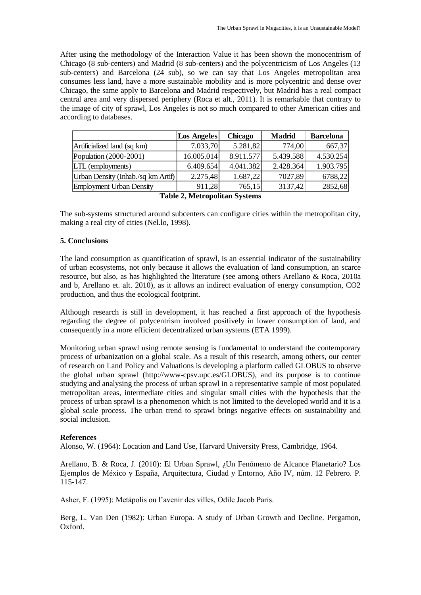After using the methodology of the Interaction Value it has been shown the monocentrism of Chicago (8 sub-centers) and Madrid (8 sub-centers) and the polycentricism of Los Angeles (13 sub-centers) and Barcelona (24 sub), so we can say that Los Angeles metropolitan area consumes less land, have a more sustainable mobility and is more polycentric and dense over Chicago, the same apply to Barcelona and Madrid respectively, but Madrid has a real compact central area and very dispersed periphery (Roca et alt., 2011). It is remarkable that contrary to the image of city of sprawl, Los Angeles is not so much compared to other American cities and according to databases.

|                                                                                      | <b>Los Angeles</b> | <b>Chicago</b> | <b>Madrid</b> | <b>Barcelona</b> |  |  |
|--------------------------------------------------------------------------------------|--------------------|----------------|---------------|------------------|--|--|
| Artificialized land (sq km)                                                          | 7.033,70           | 5.281,82       | 774,00        | 667,37           |  |  |
| Population (2000-2001)                                                               | 16.005.014         | 8.911.577      | 5.439.588     | 4.530.254        |  |  |
| LTL (employments)                                                                    | 6.409.654          | 4.041.382      | 2.428.364     | 1.903.795        |  |  |
| Urban Density (Inhab./sq km Artif)                                                   | 2.275,48           | 1.687,22       | 7027,89       | 6788,22          |  |  |
| <b>Employment Urban Density</b>                                                      | 911,28             | 765,15         | 3137,42       | 2852,68          |  |  |
| $\mathbf{T}$ . Ll. $\mathbf{\hat{A}}$ $\mathbf{M}$ . $\mathbf{L}$ . Ll. $\mathbf{L}$ |                    |                |               |                  |  |  |

|  | <b>Table 2, Metropolitan Systems</b> |  |
|--|--------------------------------------|--|
|--|--------------------------------------|--|

The sub-systems structured around subcenters can configure cities within the metropolitan city, making a real city of cities (Nel.lo, 1998).

# **5. Conclusions**

The land consumption as quantification of sprawl, is an essential indicator of the sustainability of urban ecosystems, not only because it allows the evaluation of land consumption, an scarce resource, but also, as has highlighted the literature (see among others Arellano & Roca, 2010a and b, Arellano et. alt. 2010), as it allows an indirect evaluation of energy consumption, CO2 production, and thus the ecological footprint.

Although research is still in development, it has reached a first approach of the hypothesis regarding the degree of polycentrism involved positively in lower consumption of land, and consequently in a more efficient decentralized urban systems (ETA 1999).

Monitoring urban sprawl using remote sensing is fundamental to understand the contemporary process of urbanization on a global scale. As a result of this research, among others, our center of research on Land Policy and Valuations is developing a platform called GLOBUS to observe the global urban sprawl (http://www-cpsv.upc.es/GLOBUS), and its purpose is to continue studying and analysing the process of urban sprawl in a representative sample of most populated metropolitan areas, intermediate cities and singular small cities with the hypothesis that the process of urban sprawl is a phenomenon which is not limited to the developed world and it is a global scale process. The urban trend to sprawl brings negative effects on sustainability and social inclusion.

## **References**

Alonso, W. (1964): Location and Land Use, Harvard University Press, Cambridge, 1964.

Arellano, B. & Roca, J. (2010): El Urban Sprawl, ¿Un Fenómeno de Alcance Planetario? Los Ejemplos de México y España, Arquitectura, Ciudad y Entorno, Año IV, núm. 12 Febrero. P. 115-147.

Asher, F. (1995): Metápolis ou l'avenir des villes, Odile Jacob Paris.

Berg, L. Van Den (1982): Urban Europa. A study of Urban Growth and Decline. Pergamon, Oxford.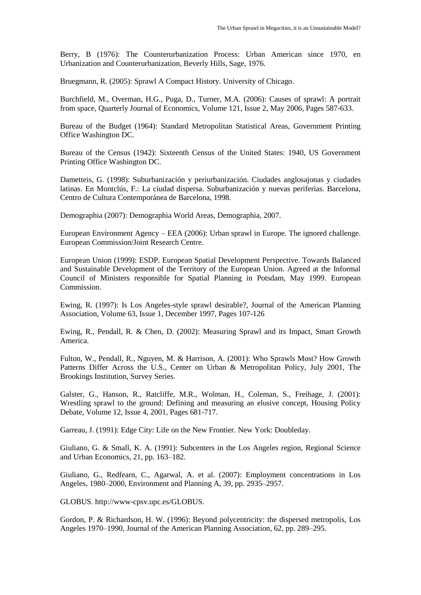Berry, B (1976): The Counterurbanization Process: Urban American since 1970, en Urbanization and Counterurbanization, Beverly Hills, Sage, 1976.

Bruegmann, R. (2005): Sprawl A Compact History. University of Chicago.

Burchfield, M., Overman, H.G., Puga, D., Turner, M.A. (2006): Causes of sprawl: A portrait from space, Quarterly Journal of Economics, Volume 121, Issue 2, May 2006, Pages 587-633.

Bureau of the Budget (1964): Standard Metropolitan Statistical Areas, Government Printing Office Washington DC.

Bureau of the Census (1942): Sixteenth Census of the United States: 1940, US Government Printing Office Washington DC.

Dametteis, G. (1998): Suburbanización y periurbanización. Ciudades anglosajonas y ciudades latinas. En Montclús, F.: La ciudad dispersa. Suburbanización y nuevas periferias. Barcelona, Centro de Cultura Contemporánea de Barcelona, 1998.

Demographia (2007): Demographia World Areas, Demographia, 2007.

European Environment Agency – EEA (2006): Urban sprawl in Europe. The ignored challenge. European Commission/Joint Research Centre.

European Union (1999): ESDP. European Spatial Development Perspective. Towards Balanced and Sustainable Development of the Territory of the European Union. Agreed at the Informal Council of Ministers responsible for Spatial Planning in Potsdam, May 1999. European Commission.

Ewing, R. (1997): Is Los Angeles-style sprawl desirable?, Journal of the American Planning Association, Volume 63, Issue 1, December 1997, Pages 107-126

Ewing, R., Pendall, R. & Chen, D. (2002): Measuring Sprawl and its Impact, Smart Growth America.

Fulton, W., Pendall, R., Nguyen, M. & Harrison, A. (2001): Who Sprawls Most? How Growth Patterns Differ Across the U.S., Center on Urban & Metropolitan Policy, July 2001, The Brookings Institution, Survey Series.

Galster, G., Hanson, R., Ratcliffe, M.R., Wolman, H., Coleman, S., Freihage, J. (2001): Wrestling sprawl to the ground: Defining and measuring an elusive concept, Housing Policy Debate, Volume 12, Issue 4, 2001, Pages 681-717.

Garreau, J. (1991): Edge City: Life on the New Frontier. New York: Doubleday.

Giuliano, G. & Small, K. A. (1991): Subcenters in the Los Angeles region, Regional Science and Urban Economics, 21, pp. 163–182.

Giuliano, G., Redfearn, C., Agarwal, A. et al. (2007): Employment concentrations in Los Angeles, 1980–2000, Environment and Planning A, 39, pp. 2935–2957.

GLOBUS. http://www-cpsv.upc.es/GLOBUS.

Gordon, P. & Richardson, H. W. (1996): Beyond polycentricity: the dispersed metropolis, Los Angeles 1970–1990, Journal of the American Planning Association, 62, pp. 289–295.